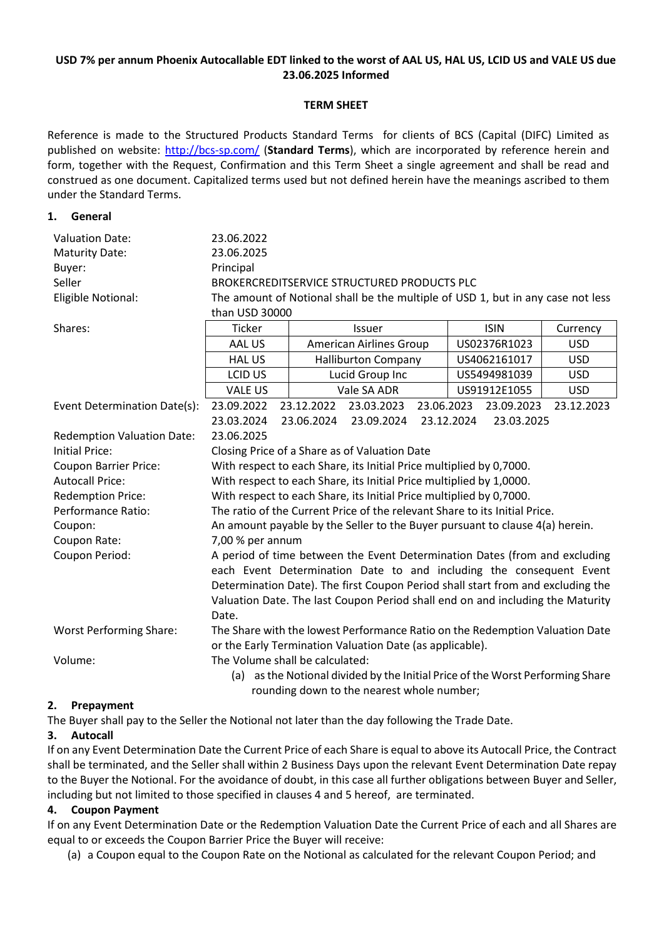## **USD 7% per annum Phoenix Autocallable EDT linked to the worst of AAL US, HAL US, LCID US and VALE US due 23.06.2025 Informed**

## **TERM SHEET**

Reference is made to the Structured Products Standard Terms for clients of BCS (Capital (DIFC) Limited as published on website:<http://bcs-sp.com/> (**Standard Terms**), which are incorporated by reference herein and form, together with the Request, Confirmation and this Term Sheet a single agreement and shall be read and construed as one document. Capitalized terms used but not defined herein have the meanings ascribed to them under the Standard Terms.

#### **1. General**

| <b>Valuation Date:</b>                                                                       | 23.06.2022                                                                      |                                            |                                |             |            |              |              |            |  |
|----------------------------------------------------------------------------------------------|---------------------------------------------------------------------------------|--------------------------------------------|--------------------------------|-------------|------------|--------------|--------------|------------|--|
| <b>Maturity Date:</b>                                                                        | 23.06.2025                                                                      |                                            |                                |             |            |              |              |            |  |
| Buyer:                                                                                       | Principal                                                                       |                                            |                                |             |            |              |              |            |  |
| Seller                                                                                       | BROKERCREDITSERVICE STRUCTURED PRODUCTS PLC                                     |                                            |                                |             |            |              |              |            |  |
| Eligible Notional:                                                                           | The amount of Notional shall be the multiple of USD 1, but in any case not less |                                            |                                |             |            |              |              |            |  |
|                                                                                              | than USD 30000                                                                  |                                            |                                |             |            |              |              |            |  |
| Shares:                                                                                      | Ticker                                                                          |                                            | Issuer                         |             |            |              | <b>ISIN</b>  | Currency   |  |
|                                                                                              | AAL US                                                                          |                                            | <b>American Airlines Group</b> |             |            | US02376R1023 |              | <b>USD</b> |  |
|                                                                                              | <b>HAL US</b>                                                                   |                                            | <b>Halliburton Company</b>     |             |            | US4062161017 |              | <b>USD</b> |  |
|                                                                                              | LCID US                                                                         |                                            | Lucid Group Inc                |             |            | US5494981039 |              | <b>USD</b> |  |
|                                                                                              | <b>VALE US</b>                                                                  |                                            |                                | Vale SA ADR |            |              | US91912E1055 | <b>USD</b> |  |
| Event Determination Date(s):                                                                 | 23.09.2022                                                                      |                                            | 23.12.2022                     | 23.03.2023  | 23.06.2023 |              | 23.09.2023   | 23.12.2023 |  |
|                                                                                              | 23.03.2024<br>23.06.2024<br>23.09.2024<br>23.12.2024<br>23.03.2025              |                                            |                                |             |            |              |              |            |  |
| <b>Redemption Valuation Date:</b>                                                            | 23.06.2025                                                                      |                                            |                                |             |            |              |              |            |  |
| Initial Price:                                                                               | Closing Price of a Share as of Valuation Date                                   |                                            |                                |             |            |              |              |            |  |
| <b>Coupon Barrier Price:</b>                                                                 | With respect to each Share, its Initial Price multiplied by 0,7000.             |                                            |                                |             |            |              |              |            |  |
| <b>Autocall Price:</b>                                                                       | With respect to each Share, its Initial Price multiplied by 1,0000.             |                                            |                                |             |            |              |              |            |  |
| <b>Redemption Price:</b>                                                                     | With respect to each Share, its Initial Price multiplied by 0,7000.             |                                            |                                |             |            |              |              |            |  |
| Performance Ratio:                                                                           | The ratio of the Current Price of the relevant Share to its Initial Price.      |                                            |                                |             |            |              |              |            |  |
| Coupon:                                                                                      | An amount payable by the Seller to the Buyer pursuant to clause 4(a) herein.    |                                            |                                |             |            |              |              |            |  |
| Coupon Rate:                                                                                 | 7,00 % per annum                                                                |                                            |                                |             |            |              |              |            |  |
| Coupon Period:<br>A period of time between the Event Determination Dates (from and excluding |                                                                                 |                                            |                                |             |            |              |              |            |  |
|                                                                                              | each Event Determination Date to and including the consequent Event             |                                            |                                |             |            |              |              |            |  |
|                                                                                              | Determination Date). The first Coupon Period shall start from and excluding the |                                            |                                |             |            |              |              |            |  |
|                                                                                              | Valuation Date. The last Coupon Period shall end on and including the Maturity  |                                            |                                |             |            |              |              |            |  |
|                                                                                              | Date.                                                                           |                                            |                                |             |            |              |              |            |  |
| <b>Worst Performing Share:</b>                                                               | The Share with the lowest Performance Ratio on the Redemption Valuation Date    |                                            |                                |             |            |              |              |            |  |
|                                                                                              | or the Early Termination Valuation Date (as applicable).                        |                                            |                                |             |            |              |              |            |  |
| Volume:                                                                                      | The Volume shall be calculated:                                                 |                                            |                                |             |            |              |              |            |  |
|                                                                                              | (a) as the Notional divided by the Initial Price of the Worst Performing Share  |                                            |                                |             |            |              |              |            |  |
|                                                                                              |                                                                                 | rounding down to the nearest whole number; |                                |             |            |              |              |            |  |

# **2. Prepayment**

The Buyer shall pay to the Seller the Notional not later than the day following the Trade Date.

# **3. Autocall**

If on any Event Determination Date the Current Price of each Share is equal to above its Autocall Price, the Contract shall be terminated, and the Seller shall within 2 Business Days upon the relevant Event Determination Date repay to the Buyer the Notional. For the avoidance of doubt, in this case all further obligations between Buyer and Seller, including but not limited to those specified in clauses 4 and 5 hereof, are terminated.

# **4. Coupon Payment**

If on any Event Determination Date or the Redemption Valuation Date the Current Price of each and all Shares are equal to or exceeds the Coupon Barrier Price the Buyer will receive:

(a) a Coupon equal to the Coupon Rate on the Notional as calculated for the relevant Coupon Period; and